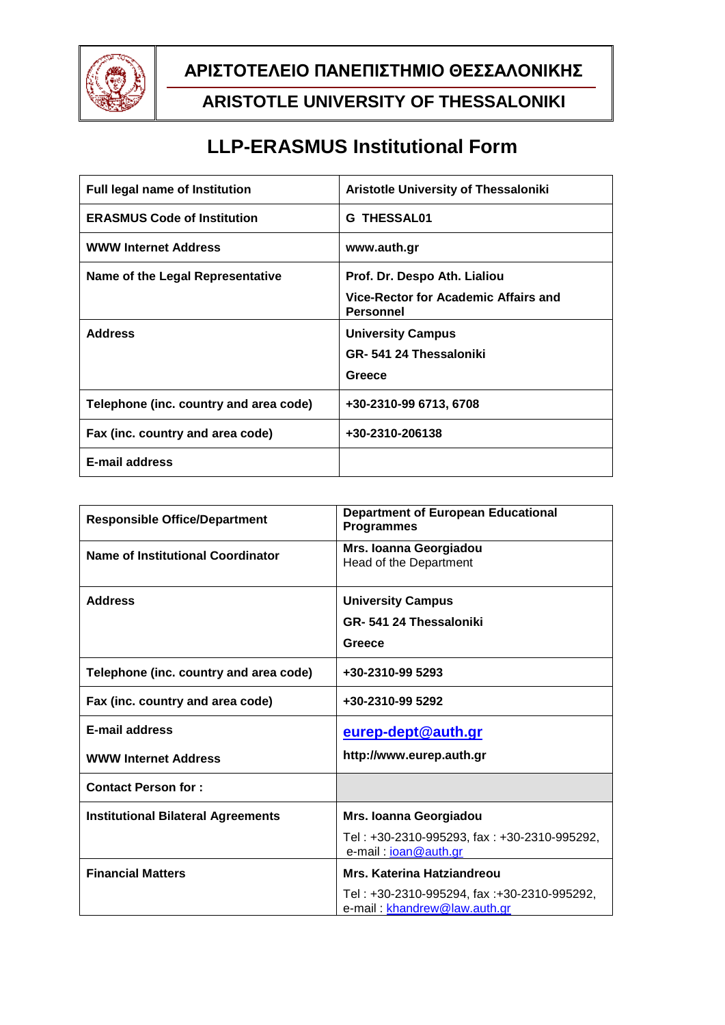

## **ΑΡΙΣΤΟΤΕΛΕΙΟ ΠΑΝΕΠΙΣΤΗΜΙΟ ΘΕΣΣΑΛΟΝΙΚΗΣ**

## **ARISTOTLE UNIVERSITY OF THESSALONIKI**

# **LLP-ERASMUS Institutional Form**

| <b>Full legal name of Institution</b>  | Aristotle University of Thessaloniki                     |
|----------------------------------------|----------------------------------------------------------|
| <b>ERASMUS Code of Institution</b>     | <b>G THESSAL01</b>                                       |
| <b>WWW Internet Address</b>            | www.auth.gr                                              |
| Name of the Legal Representative       | Prof. Dr. Despo Ath. Lialiou                             |
|                                        | Vice-Rector for Academic Affairs and<br><b>Personnel</b> |
| <b>Address</b>                         | <b>University Campus</b>                                 |
|                                        | GR-541 24 Thessaloniki                                   |
|                                        | Greece                                                   |
| Telephone (inc. country and area code) | +30-2310-99 6713, 6708                                   |
| Fax (inc. country and area code)       | +30-2310-206138                                          |
| <b>E-mail address</b>                  |                                                          |

| <b>Responsible Office/Department</b>      | <b>Department of European Educational</b><br><b>Programmes</b>              |
|-------------------------------------------|-----------------------------------------------------------------------------|
| <b>Name of Institutional Coordinator</b>  | Mrs. Ioanna Georgiadou<br>Head of the Department                            |
| <b>Address</b>                            | <b>University Campus</b>                                                    |
|                                           | GR-541 24 Thessaloniki                                                      |
|                                           | Greece                                                                      |
| Telephone (inc. country and area code)    | +30-2310-99 5293                                                            |
| Fax (inc. country and area code)          | +30-2310-99 5292                                                            |
| <b>E-mail address</b>                     | eurep-dept@auth.gr                                                          |
| <b>WWW Internet Address</b>               | http://www.eurep.auth.gr                                                    |
| <b>Contact Person for:</b>                |                                                                             |
| <b>Institutional Bilateral Agreements</b> | Mrs. Ioanna Georgiadou                                                      |
|                                           | Tel: +30-2310-995293, fax: +30-2310-995292,<br>e-mail: ioan@auth.gr         |
| <b>Financial Matters</b>                  | Mrs. Katerina Hatziandreou                                                  |
|                                           | Tel: +30-2310-995294, fax: +30-2310-995292,<br>e-mail: khandrew@law.auth.gr |